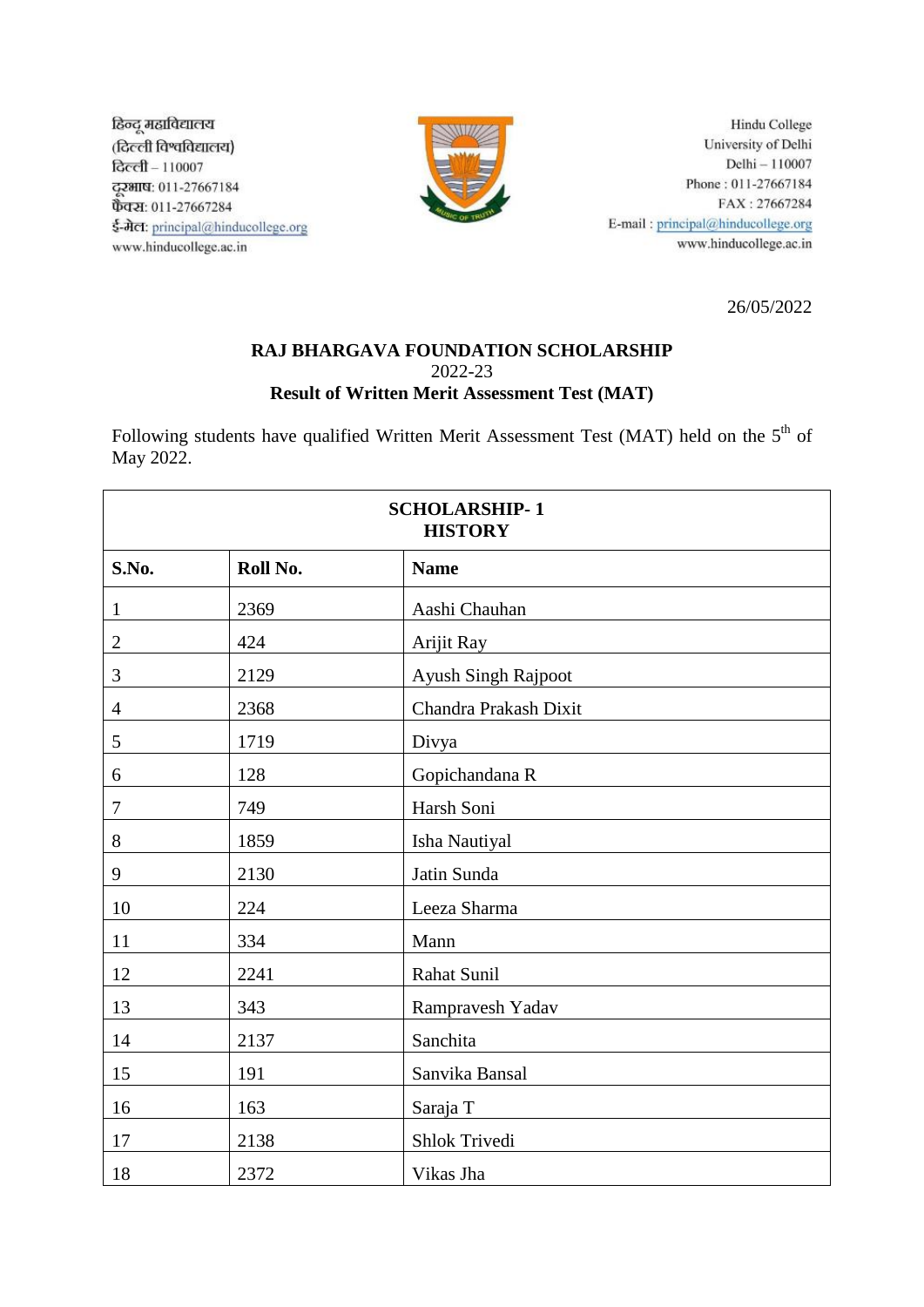हिन्दू महाविद्यालय (दिल्ली विश्वविद्यालय)  $\overline{\mathsf{Bccfl}}-110007$ ट्ट्साष: 011-27667184 फैक्स: 011-27667284 ई-मेल: principal@hinducollege.org www.hinducollege.ac.in



Hindu College University of Delhi Delhi -- 110007 Phone: 011-27667184 FAX: 27667284 E-mail: principal@hinducollege.org www.hinducollege.ac.in

26/05/2022

## **RAJ BHARGAVA FOUNDATION SCHOLARSHIP** 2022-23 **Result of Written Merit Assessment Test (MAT)**

Following students have qualified Written Merit Assessment Test (MAT) held on the  $5<sup>th</sup>$  of May 2022.

| <b>SCHOLARSHIP-1</b><br><b>HISTORY</b> |          |                       |  |
|----------------------------------------|----------|-----------------------|--|
| S.No.                                  | Roll No. | <b>Name</b>           |  |
| $\mathbf{1}$                           | 2369     | Aashi Chauhan         |  |
| $\sqrt{2}$                             | 424      | Arijit Ray            |  |
| $\mathfrak{Z}$                         | 2129     | Ayush Singh Rajpoot   |  |
| $\overline{4}$                         | 2368     | Chandra Prakash Dixit |  |
| 5                                      | 1719     | Divya                 |  |
| 6                                      | 128      | Gopichandana R        |  |
| $\overline{7}$                         | 749      | Harsh Soni            |  |
| 8                                      | 1859     | Isha Nautiyal         |  |
| 9                                      | 2130     | Jatin Sunda           |  |
| 10                                     | 224      | Leeza Sharma          |  |
| 11                                     | 334      | Mann                  |  |
| 12                                     | 2241     | Rahat Sunil           |  |
| 13                                     | 343      | Rampravesh Yadav      |  |
| 14                                     | 2137     | Sanchita              |  |
| 15                                     | 191      | Sanvika Bansal        |  |
| 16                                     | 163      | Saraja T              |  |
| 17                                     | 2138     | Shlok Trivedi         |  |
| 18                                     | 2372     | Vikas Jha             |  |